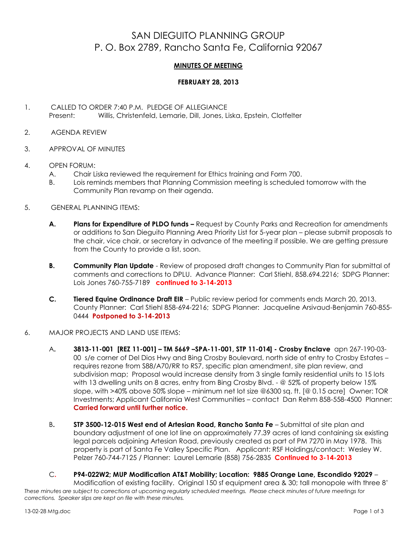## SAN DIEGUITO PLANNING GROUP P. O. Box 2789, Rancho Santa Fe, California 92067

## **MINUTES OF MEETING**

## **FEBRUARY 28, 2013**

- 1. CALLED TO ORDER 7:40 P.M. PLEDGE OF ALLEGIANCE Present: Willis, Christenfeld, Lemarie, Dill, Jones, Liska, Epstein, Clotfelter
- 2. AGENDA REVIEW
- 3. APPROVAL OF MINUTES
- 4. OPEN FORUM:
	- A. Chair Liska reviewed the requirement for Ethics training and Form 700.
	- B. Lois reminds members that Planning Commission meeting is scheduled tomorrow with the Community Plan revamp on their agenda.
- 5. GENERAL PLANNING ITEMS:
	- **A. Plans for Expenditure of PLDO funds –** Request by County Parks and Recreation for amendments or additions to San Dieguito Planning Area Priority List for 5-year plan – please submit proposals to the chair, vice chair, or secretary in advance of the meeting if possible. We are getting pressure from the County to provide a list, soon.
	- **B. Community Plan Update** Review of proposed draft changes to Community Plan for submittal of comments and corrections to DPLU. Advance Planner: Carl Stiehl, 858.694.2216; SDPG Planner: Lois Jones 760-755-7189 **continued to 3-14-2013**
	- **C. Tiered Equine Ordinance Draft EIR**  Public review period for comments ends March 20, 2013. County Planner: Carl Stiehl 858-694-2216; SDPG Planner: Jacqueline Arsivaud-Benjamin 760-855- 0444 **Postponed to 3-14-2013**
- 6. MAJOR PROJECTS AND LAND USE ITEMS:
	- A**. 3813-11-001 [REZ 11-001] – TM 5669 –SPA-11-001, STP 11-014] - Crosby Enclave** apn 267-190-03- 00 s/e corner of Del Dios Hwy and Bing Crosby Boulevard, north side of entry to Crosby Estates – requires rezone from S88/A70/RR to RS7, specific plan amendment, site plan review, and subdivision map; Proposal would increase density from 3 single family residential units to 15 lots with 13 dwelling units on 8 acres, entry from Bing Crosby Blvd. - @ 52% of property below 15% slope, with >40% above 50% slope – minimum net lot size @6300 sq. ft. [@ 0.15 acre] Owner: TOR Investments; Applicant California West Communities – contact Dan Rehm 858-558-4500 Planner: **Carried forward until further notice.**
	- B**. STP 3500-12-015 West end of Artesian Road, Rancho Santa Fe** Submittal of site plan and boundary adjustment of one lot line on approximately 77.39 acres of land containing six existing legal parcels adjoining Artesian Road, previously created as part of PM 7270 in May 1978. This property is part of Santa Fe Valley Specific Plan.Applicant: RSF Holdings/contact: Wesley W. Pelzer 760-744-7125 / Planner: Laurel Lemarie (858) 756-2835 **Continued to 3-14-2013**
- *These minutes are subject to corrections at upcoming regularly scheduled meetings. Please check minutes of future meetings for corrections. Speaker slips are kept on file with these minutes.* C**. P94-022W2; MUP Modification AT&T Mobility; Location: 9885 Orange Lane, Escondido 92029** – Modification of existing facility. Original 150 sf equipment area & 30; tall monopole with three 8'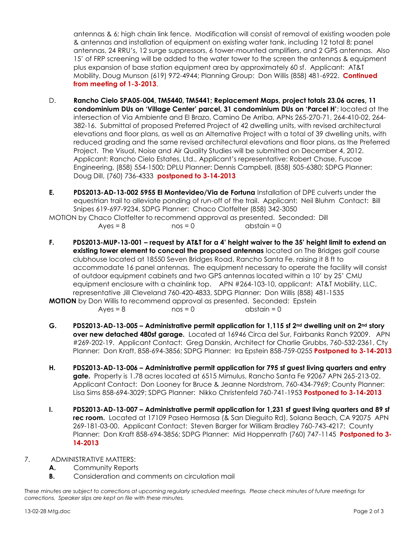antennas & 6; high chain link fence. Modification will consist of removal of existing wooden pole & antennas and installation of equipment on existing water tank, including 12 total 8; panel antennas, 24 RRU's, 12 surge suppressors, 6 tower-mounted amplifiers, and 2 GPS antennas. Also 15' of FRP screening will be added to the water tower to the screen the antennas & equipment plus expansion of base station equipment area by approximately 60 sf. Applicant: AT&T Mobility, Doug Munson (619) 972-4944; Planning Group: Don Willis (858) 481-6922. **Continued from meeting of 1-3-2013**.

- D. **Rancho Cielo SPA05-004, TM5440, TM5441; Replacement Maps, project totals 23.06 acres, 11 condominium DUs on 'Village Center' parcel, 31 condominium DUs on 'Parcel H'**; located at the intersection of Via Ambiente and El Brazo, Camino De Arriba, APNs 265-270-71, 264-410-02, 264- 382-16. Submittal of proposed Preferred Project of 42 dwelling units, with revised architectural elevations and floor plans, as well as an Alternative Project with a total of 39 dwelling units, with reduced grading and the same revised architectural elevations and floor plans, as the Preferred Project. The Visual, Noise and Air Quality Studies will be submitted on December 4, 2012. Applicant: Rancho Cielo Estates, Ltd., Applicant's representative: Robert Chase, Fuscoe Engineering, (858) 554-1500; DPLU Planner: Dennis Campbell, (858) 505-6380; SDPG Planner: Doug Dill, (760) 736-4333 **postponed to 3-14-2013**
- **E. PDS2013-AD-13-002 5955 El Montevideo/Via de Fortuna** Installation of DPE culverts under the equestrian trail to alleviate ponding of run-off of the trail. Applicant: Neil Bluhm Contact: Bill Snipes 619-697-9234, SDPG Planner: Chaco Clotfelter (858) 342-3050 MOTION by Chaco Clotfelter to recommend approval as presented. Seconded: Dill

| $Ayes = 8$ | $nos = 0$ | $abstain = 0$ |
|------------|-----------|---------------|
|            |           |               |

**F. PDS2013-MUP-13-001 – request by AT&T for a 4' height waiver to the 35' height limit to extend an existing tower element to conceal the proposed antennas** located on The Bridges golf course clubhouse located at 18550 Seven Bridges Road, Rancho Santa Fe, raising it 8 ft to accommodate 16 panel antennas. The equipment necessary to operate the facility will consist of outdoor equipment cabinets and two GPS antennas located within a 10' by 25' CMU equipment enclosure with a chainlink top. APN #264-103-10, applicant: AT&T Mobility, LLC, representative Jill Cleveland 760-420-4833, SDPG Planner: Don Willis (858) 481-1535

**MOTION** by Don Willis to recommend approval as presented. Seconded: Epstein  $Ayes = 8$  nos = 0 abstain = 0

- **G. PDS2013-AD-13-005 – Administrative permit application for 1,115 sf 2nd dwelling unit on 2nd story over new detached 480sf garage.** Located at 16946 Circa del Sur, Fairbanks Ranch 92009. APN #269-202-19. Applicant Contact: Greg Danskin, Architect for Charlie Grubbs, 760-532-2361, Cty Planner: Don Kraft, 858-694-3856; SDPG Planner: Ira Epstein 858-759-0255 **Postponed to 3-14-2013**
- **H. PDS2013-AD-13-006 – Administrative permit application for 795 sf guest living quarters and entry gate.** Property is 1.78 acres located at 6515 Mimulus, Rancho Santa Fe 92067 APN 265-213-02. Applicant Contact: Don Looney for Bruce & Jeanne Nordstrom, 760-434-7969; County Planner: Lisa Sims 858-694-3029; SDPG Planner: Nikko Christenfeld 760-741-1953 **Postponed to 3-14-2013**
- **I. PDS2013-AD-13-007 – Administrative permit application for 1,231 sf guest living quarters and 89 sf rec room.** Located at 17109 Paseo Hermosa (& San Dieguito Rd), Solana Beach, CA 92075 APN 269-181-03-00. Applicant Contact: Steven Barger for William Bradley 760-743-4217; County Planner: Don Kraft 858-694-3856; SDPG Planner: Mid Hoppenrath (760) 747-1145 **Postponed to 3- 14-2013**
- 7. ADMINISTRATIVE MATTERS:
	- **A.** Community Reports
	- **B.** Consideration and comments on circulation mail

*These minutes are subject to corrections at upcoming regularly scheduled meetings. Please check minutes of future meetings for corrections. Speaker slips are kept on file with these minutes.*